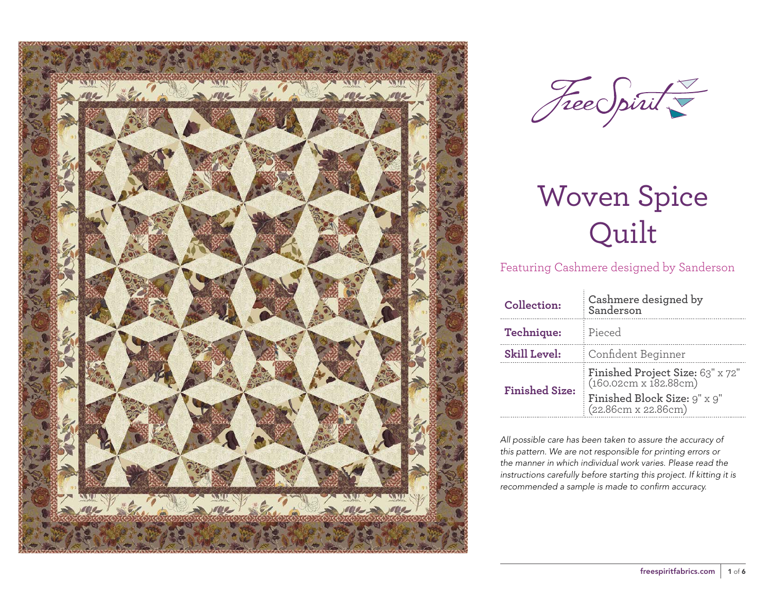



Featuring Cashmere designed by Sanderson

| Technique:<br>Pieced<br><b>Skill Level:</b><br>Confident Beginner<br>Finished Project Size: 63" x 72"<br>(160.02cm x 182.88cm)<br><b>Finished Size:</b> | Collection: | Cashmere designed by<br>Sanderson |  |  |  |
|---------------------------------------------------------------------------------------------------------------------------------------------------------|-------------|-----------------------------------|--|--|--|
|                                                                                                                                                         |             |                                   |  |  |  |
|                                                                                                                                                         |             |                                   |  |  |  |
|                                                                                                                                                         |             | Finished Block Size: 9" x 9"      |  |  |  |

*All possible care has been taken to assure the accuracy of this pattern. We are not responsible for printing errors or the manner in which individual work varies. Please read the instructions carefully before starting this project. If kitting it is recommended a sample is made to confirm accuracy.*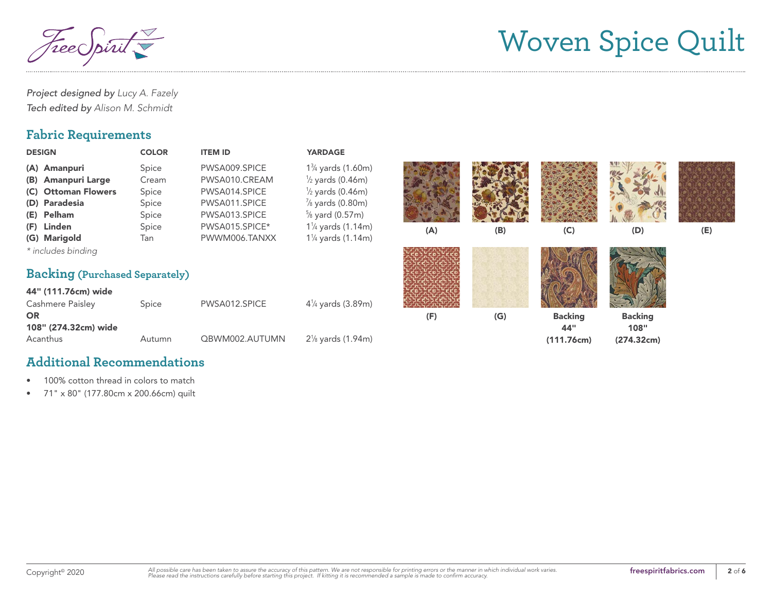TreeC

*Project designed by Lucy A. Fazely Tech edited by Alison M. Schmidt*

#### **Fabric Requirements**

| <b>DESIGN</b>                         | <b>COLOR</b>   | <b>ITEM ID</b>                 | <b>YARDAGE</b>                                                             |     |     |                       |                        |     |
|---------------------------------------|----------------|--------------------------------|----------------------------------------------------------------------------|-----|-----|-----------------------|------------------------|-----|
| (A) Amanpuri<br>(B) Amanpuri Large    | Spice<br>Cream | PWSA009.SPICE<br>PWSA010.CREAM | 1 <sup>3</sup> / <sub>4</sub> yards (1.60m)<br>$\frac{1}{2}$ yards (0.46m) |     |     |                       |                        |     |
| (C) Ottoman Flowers                   | Spice          | PWSA014.SPICE                  | $\frac{1}{2}$ yards (0.46m)                                                |     |     |                       |                        |     |
| (D) Paradesia                         | Spice          | PWSA011.SPICE                  | $\frac{7}{8}$ yards (0.80m)                                                |     |     |                       |                        |     |
| (E) Pelham                            | Spice          | PWSA013.SPICE                  | $\frac{5}{8}$ yard (0.57m)                                                 |     |     |                       |                        |     |
| (F) Linden                            | Spice          | PWSA015.SPICE*                 | 1 <sup>1</sup> / <sub>4</sub> yards (1.14m)                                | (A) | (B) | (C)                   | (D)                    | (E) |
| (G) Marigold                          | Tan            | PWWM006.TANXX                  | $1\frac{1}{4}$ yards (1.14m)                                               |     |     |                       |                        |     |
| * includes binding                    |                |                                |                                                                            |     |     |                       |                        |     |
| <b>Backing (Purchased Separately)</b> |                |                                |                                                                            |     |     |                       |                        |     |
| 44" (111.76cm) wide                   |                |                                |                                                                            |     |     |                       |                        |     |
| Cashmere Paisley                      | Spice          | PWSA012.SPICE                  | $4\frac{1}{4}$ yards (3.89m)                                               |     |     |                       |                        |     |
| <b>OR</b><br>108" (274.32cm) wide     |                |                                |                                                                            | (F) | (G) | <b>Backing</b><br>44" | <b>Backing</b><br>108" |     |
| Acanthus                              | Autumn         | QBWM002.AUTUMN                 | 2 <sup>1</sup> / <sub>8</sub> yards (1.94m)                                |     |     | (111.76cm)            | (274.32cm)             |     |

#### **Additional Recommendations**

• 100% cotton thread in colors to match

• 71" x 80" (177.80cm x 200.66cm) quilt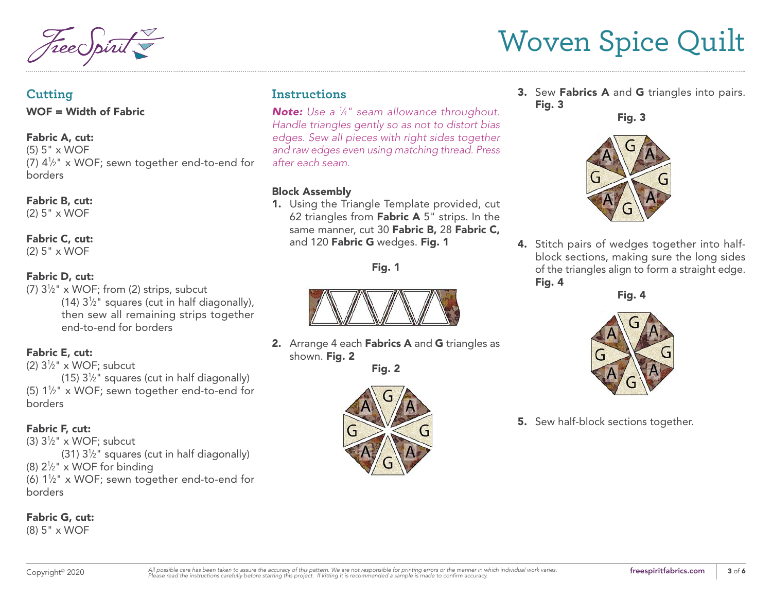#### **Cutting**

WOF = Width of Fabric

#### Fabric A, cut:

(5) 5" x WOF (7)  $4\frac{1}{2}$ " x WOF; sewn together end-to-end for borders

### Fabric B, cut:

(2) 5" x WOF

### Fabric C, cut:

(2) 5" x WOF

#### Fabric D, cut:

(7)  $3\frac{1}{2}$ " x WOF; from (2) strips, subcut (14)  $3\frac{1}{2}$ " squares (cut in half diagonally), then sew all remaining strips together end-to-end for borders

#### Fabric E, cut:

(2)  $3\frac{1}{2}$ " x WOF; subcut

(15)  $3\frac{1}{2}$ " squares (cut in half diagonally) (5)  $1\frac{1}{2}$ " x WOF; sewn together end-to-end for borders

#### Fabric F, cut:

(3)  $3\frac{1}{2}$ " x WOF; subcut  $(31)$   $3\frac{1}{2}$ " squares (cut in half diagonally) (8)  $2\frac{1}{2}$ " x WOF for binding (6)  $1\frac{1}{2}$ " x WOF; sewn together end-to-end for borders

#### Fabric G, cut:

(8) 5" x WOF

### **Instructions**

*Note: Use a 1 ⁄4" seam allowance throughout. Handle triangles gently so as not to distort bias edges. Sew all pieces with right sides together and raw edges even using matching thread. Press after each seam.*

#### Block Assembly

1. Using the Triangle Template provided, cut 62 triangles from **Fabric A**  $5$ " strips. In the same manner, cut 30 Fabric B, 28 Fabric C, and 120 Fabric G wedges. Fig. 1

Fig. 1



2. Arrange 4 each Fabrics A and G triangles as shown. Fig. 2

Fig. 2



3. Sew Fabrics A and G triangles into pairs. Fig. 3

Fig. 3



4. Stitch pairs of wedges together into halfblock sections, making sure the long sides of the triangles align to form a straight edge. Fig. 4

Fig. 4



**5.** Sew half-block sections together.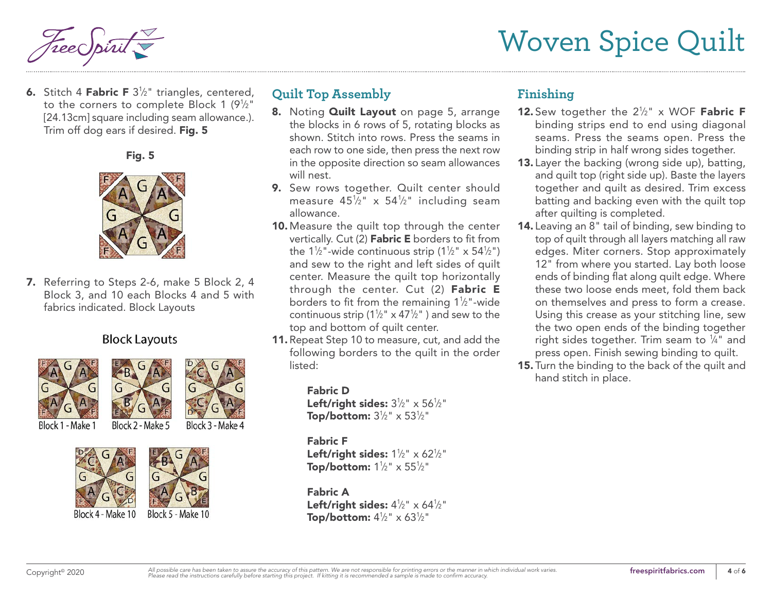

**6.** Stitch 4 **Fabric F**  $3\frac{1}{2}$ " triangles, centered, to the corners to complete Block 1 (9½") [24.13cm] square including seam allowance.). Trim off dog ears if desired. Fig. 5

Fig. 5



7. Referring to Steps 2-6, make 5 Block 2, 4 Block 3, and 10 each Blocks 4 and 5 with fabrics indicated. Block Layouts

#### **Block Layouts**





Block 1 - Make 1

Block 2 - Make 5 Block 3 - Make 4



## **Quilt Top Assembly**

- 8. Noting **Quilt Layout** on page 5, arrange the blocks in 6 rows of 5, rotating blocks as shown. Stitch into rows. Press the seams in each row to one side, then press the next row in the opposite direction so seam allowances will nest.
- 9. Sew rows together. Quilt center should measure 45½" x 54½" including seam allowance.
- 10. Measure the quilt top through the center vertically. Cut (2) Fabric E borders to fit from the 1½"-wide continuous strip (1½" x 54½") and sew to the right and left sides of quilt center. Measure the quilt top horizontally through the center. Cut (2) Fabric E borders to fit from the remaining 1½"-wide continuous strip (1½"  $\times$  47½" ) and sew to the top and bottom of quilt center.
- 11. Repeat Step 10 to measure, cut, and add the following borders to the quilt in the order listed:

Fabric D Left/right sides:  $3\frac{1}{2}$ " x  $56\frac{1}{2}$ " Top/bottom:  $3\frac{1}{2}$ " x  $53\frac{1}{2}$ "

#### Fabric F

Left/right sides:  $1\frac{1}{2}$ " x 62 $\frac{1}{2}$ " Top/bottom: 1½"  $\times$  55½"

Fabric A Left/right sides:  $4\frac{1}{2}$ " x 64 $\frac{1}{2}$ " Top/bottom:  $4\frac{1}{2}$ " x 63 $\frac{1}{2}$ "

## **Finishing**

- **12.** Sew together the  $2\frac{1}{2}$ " x WOF **Fabric F** binding strips end to end using diagonal seams. Press the seams open. Press the binding strip in half wrong sides together.
- 13. Layer the backing (wrong side up), batting, and quilt top (right side up). Baste the layers together and quilt as desired. Trim excess batting and backing even with the quilt top after quilting is completed.
- 14. Leaving an 8" tail of binding, sew binding to top of quilt through all layers matching all raw edges. Miter corners. Stop approximately 12" from where you started. Lay both loose ends of binding flat along quilt edge. Where these two loose ends meet, fold them back on themselves and press to form a crease. Using this crease as your stitching line, sew the two open ends of the binding together right sides together. Trim seam to  $\frac{1}{4}$ " and press open. Finish sewing binding to quilt.
- 15. Turn the binding to the back of the quilt and hand stitch in place.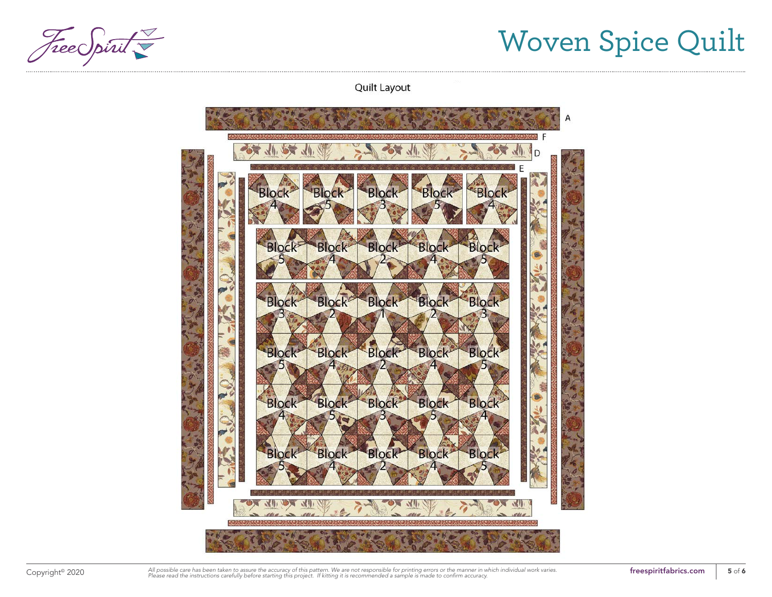Free Spirit

Quilt Layout



Copyright<sup>®</sup> 2020 All possible care has been taken to assure the accuracy of this pattern. We are not responsible for printing errors or the manner in which individual work varies. **The section that interaprintfabrics.com**